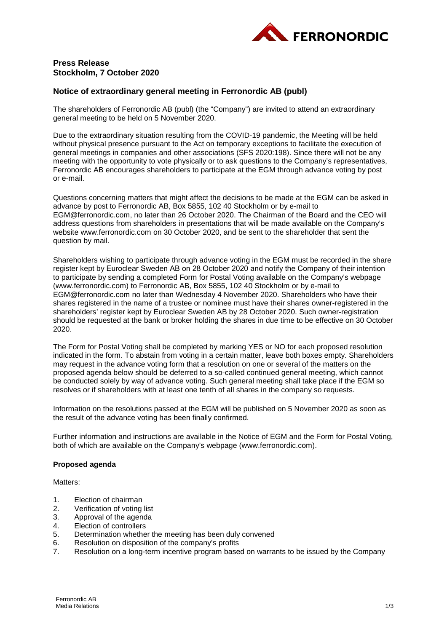

# **Press Release Stockholm, 7 October 2020**

# **Notice of extraordinary general meeting in Ferronordic AB (publ)**

The shareholders of Ferronordic AB (publ) (the "Company") are invited to attend an extraordinary general meeting to be held on 5 November 2020.

Due to the extraordinary situation resulting from the COVID-19 pandemic, the Meeting will be held without physical presence pursuant to the Act on temporary exceptions to facilitate the execution of general meetings in companies and other associations (SFS 2020:198). Since there will not be any meeting with the opportunity to vote physically or to ask questions to the Company's representatives, Ferronordic AB encourages shareholders to participate at the EGM through advance voting by post or e-mail.

Questions concerning matters that might affect the decisions to be made at the EGM can be asked in advance by post to Ferronordic AB, Box 5855, 102 40 Stockholm or by e-mail to EGM@ferronordic.com, no later than 26 October 2020. The Chairman of the Board and the CEO will address questions from shareholders in presentations that will be made available on the Company's website www.ferronordic.com on 30 October 2020, and be sent to the shareholder that sent the question by mail.

Shareholders wishing to participate through advance voting in the EGM must be recorded in the share register kept by Euroclear Sweden AB on 28 October 2020 and notify the Сompany of their intention to participate by sending a completed Form for Postal Voting available on the Company's webpage (www.ferronordic.com) to Ferronordic AB, Box 5855, 102 40 Stockholm or by e-mail to EGM@ferronordic.com no later than Wednesday 4 November 2020. Shareholders who have their shares registered in the name of a trustee or nominee must have their shares owner-registered in the shareholders' register kept by Euroclear Sweden AB by 28 October 2020. Such owner-registration should be requested at the bank or broker holding the shares in due time to be effective on 30 October 2020.

The Form for Postal Voting shall be completed by marking YES or NO for each proposed resolution indicated in the form. To abstain from voting in a certain matter, leave both boxes empty. Shareholders may request in the advance voting form that a resolution on one or several of the matters on the proposed agenda below should be deferred to a so-called continued general meeting, which cannot be conducted solely by way of advance voting. Such general meeting shall take place if the EGM so resolves or if shareholders with at least one tenth of all shares in the company so requests.

Information on the resolutions passed at the EGM will be published on 5 November 2020 as soon as the result of the advance voting has been finally confirmed.

Further information and instructions are available in the Notice of EGM and the Form for Postal Voting, both of which are available on the Company's webpage [\(www.ferronordic.com\)](http://www.ferronordic.com/).

## **Proposed agenda**

Matters<sup>-</sup>

- 1. Election of chairman
- 2. Verification of voting list<br>3. Approval of the agenda
- Approval of the agenda
- 4. Election of controllers<br>5. Determination whethe
- Determination whether the meeting has been duly convened
- 6. Resolution on disposition of the company's profits
- 7. Resolution on a long-term incentive program based on warrants to be issued by the Company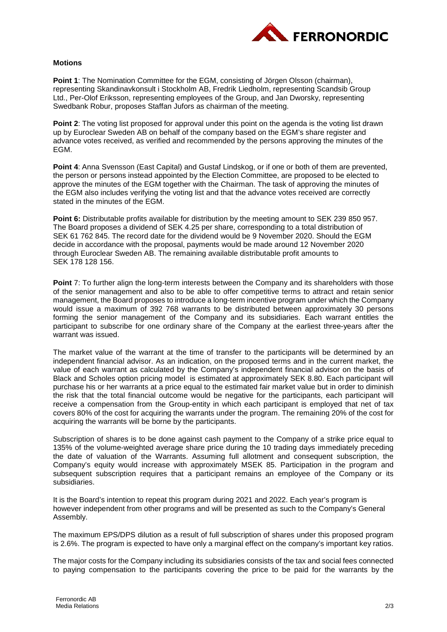

### **Motions**

**Point 1**: The Nomination Committee for the EGM, consisting of Jörgen Olsson (chairman), representing Skandinavkonsult i Stockholm AB, Fredrik Liedholm, representing Scandsib Group Ltd., Per-Olof Eriksson, representing employees of the Group, and Jan Dworsky, representing Swedbank Robur, proposes Staffan Jufors as chairman of the meeting.

**Point 2:** The voting list proposed for approval under this point on the agenda is the voting list drawn up by Euroclear Sweden AB on behalf of the company based on the EGM's share register and advance votes received, as verified and recommended by the persons approving the minutes of the EGM.

**Point 4:** Anna Svensson (East Capital) and Gustaf Lindskog, or if one or both of them are prevented, the person or persons instead appointed by the Election Committee, are proposed to be elected to approve the minutes of the EGM together with the Chairman. The task of approving the minutes of the EGM also includes verifying the voting list and that the advance votes received are correctly stated in the minutes of the EGM.

**Point 6:** Distributable profits available for distribution by the meeting amount to SEK 239 850 957. The Board proposes a dividend of SEK 4.25 per share, corresponding to a total distribution of SEK 61 762 845. The record date for the dividend would be 9 November 2020. Should the EGM decide in accordance with the proposal, payments would be made around 12 November 2020 through Euroclear Sweden AB. The remaining available distributable profit amounts to SEK 178 128 156.

**Point** 7: To further align the long-term interests between the Company and its shareholders with those of the senior management and also to be able to offer competitive terms to attract and retain senior management, the Board proposes to introduce a long-term incentive program under which the Company would issue a maximum of 392 768 warrants to be distributed between approximately 30 persons forming the senior management of the Company and its subsidiaries. Each warrant entitles the participant to subscribe for one ordinary share of the Company at the earliest three-years after the warrant was issued.

The market value of the warrant at the time of transfer to the participants will be determined by an independent financial advisor. As an indication, on the proposed terms and in the current market, the value of each warrant as calculated by the Company's independent financial advisor on the basis of Black and Scholes option pricing model is estimated at approximately SEK 8.80. Each participant will purchase his or her warrants at a price equal to the estimated fair market value but in order to diminish the risk that the total financial outcome would be negative for the participants, each participant will receive a compensation from the Group-entity in which each participant is employed that net of tax covers 80% of the cost for acquiring the warrants under the program. The remaining 20% of the cost for acquiring the warrants will be borne by the participants.

Subscription of shares is to be done against cash payment to the Company of a strike price equal to 135% of the volume-weighted average share price during the 10 trading days immediately preceding the date of valuation of the Warrants. Assuming full allotment and consequent subscription, the Company's equity would increase with approximately MSEK 85. Participation in the program and subsequent subscription requires that a participant remains an employee of the Company or its subsidiaries.

It is the Board's intention to repeat this program during 2021 and 2022. Each year's program is however independent from other programs and will be presented as such to the Company's General Assembly.

The maximum EPS/DPS dilution as a result of full subscription of shares under this proposed program is 2.6%. The program is expected to have only a marginal effect on the company's important key ratios.

The major costs for the Company including its subsidiaries consists of the tax and social fees connected to paying compensation to the participants covering the price to be paid for the warrants by the